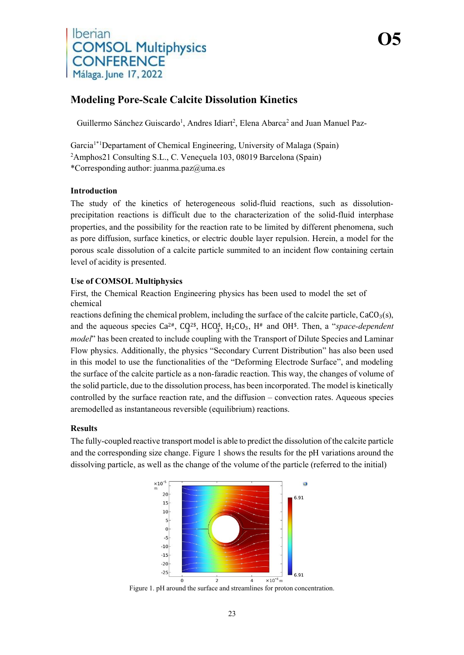# Iberian **COMSOL Multiphysics CONFERENCE** Málaga. June 17, 2022

## **Modeling Pore-Scale Calcite Dissolution Kinetics**

Guillermo Sánchez Guiscardo<sup>1</sup>, Andres Idiart<sup>2</sup>, Elena Abarca<sup>2</sup> and Juan Manuel Paz-

**O5**

Garcia<sup>1\*1</sup>Departament of Chemical Engineering, University of Malaga (Spain) 2 Amphos21 Consulting S.L., C. Veneçuela 103, 08019 Barcelona (Spain) \*Corresponding author: [juanma.paz@uma.es](mailto:juanma.paz@uma.es)

#### **Introduction**

The study of the kinetics of heterogeneous solid-fluid reactions, such as dissolutionprecipitation reactions is difficult due to the characterization of the solid-fluid interphase properties, and the possibility for the reaction rate to be limited by different phenomena, such as pore diffusion, surface kinetics, or electric double layer repulsion. Herein, a model for the porous scale dissolution of a calcite particle summited to an incident flow containing certain level of acidity is presented.

#### **Use of COMSOL Multiphysics**

First, the Chemical Reaction Engineering physics has been used to model the set of chemical

reactions defining the chemical problem, including the surface of the calcite particle,  $CaCO<sub>3</sub>(s)$ , and the aqueous species  $Ca^{2\#}$ ,  $CQ^{2\$}$ ,  $HCO_3^{\$}$ ,  $H_2CO_3$ ,  $H^*$  and OH<sup>§</sup>. Then, a "*space-dependent model*" has been created to include coupling with the Transport of Dilute Species and Laminar Flow physics. Additionally, the physics "Secondary Current Distribution" has also been used in this model to use the functionalities of the "Deforming Electrode Surface", and modeling the surface of the calcite particle as a non-faradic reaction. This way, the changes of volume of the solid particle, due to the dissolution process, has been incorporated. The model is kinetically controlled by the surface reaction rate, and the diffusion – convection rates. Aqueous species aremodelled as instantaneous reversible (equilibrium) reactions.

#### **Results**

The fully-coupled reactive transport model is able to predict the dissolution of the calcite particle and the corresponding size change. Figure 1 shows the results for the pH variations around the dissolving particle, as well as the change of the volume of the particle (referred to the initial)



Figure 1. pH around the surface and streamlines for proton concentration.